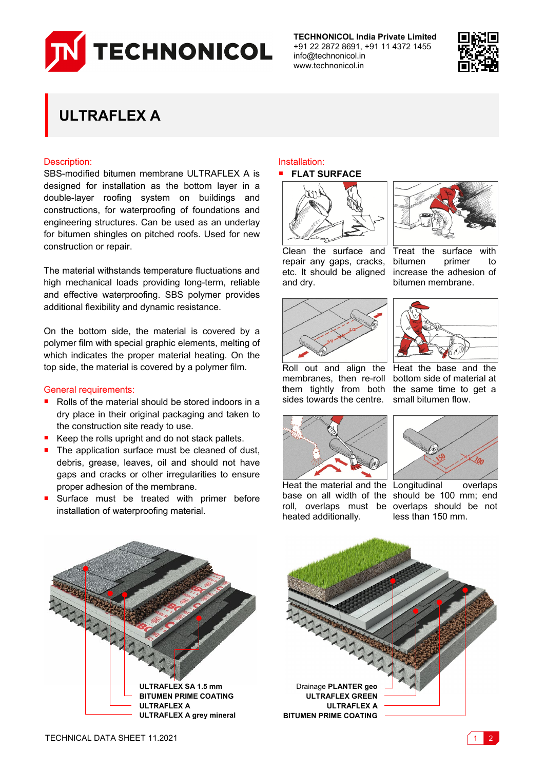

**TECHNONICOL India Private Limited** +91 22 2872 8691, +91 11 4372 1455 info@technonicol.in www.technonicol.in



# **ULTRAFLEX A**

## Description:

SBS-modified bitumen membrane ULTRAFLEX A is designed for installation as the bottom layer in a double-layer roofing system on buildings and constructions, for waterproofing of foundations and engineering structures. Can be used as an underlay for bitumen shingles on pitched roofs. Used for new construction or repair.

The material withstands temperature fluctuations and high mechanical loads providing long-term, reliable and effective waterproofing. SBS polymer provides additional flexibility and dynamic resistance.

On the bottom side, the material is covered by a polymer film with special graphic elements, melting of which indicates the proper material heating. On the top side, the material is covered by a polymer film.

### General requirements:

- Rolls of the material should be stored indoors in a dry place in their original packaging and taken to the construction site ready to use.
- Keep the rolls upright and do not stack pallets.
- The application surface must be cleaned of dust, debris, grease, leaves, oil and should not have gaps and cracks or other irregularities to ensure proper adhesion of the membrane.
- Surface must be treated with primer before installation of waterproofing material.

#### Installation: **FLAT SURFACE**





Treat the surface with bitumen primer to increase the adhesion of bitumen membrane.

Clean the surface and repair any gaps, cracks, etc. It should be aligned and dry.



Roll out and align the Heat the base and the membranes, then re-roll bottom side of material at them tightly from both the same time to get a sides towards the centre. small bitumen flow.



heated additionally.

**ULTRAFLEX A**

Heat the material and the Longitudinal overlaps base on all width of the should be 100 mm; end



roll, overlaps must be overlaps should be not less than 150 mm.